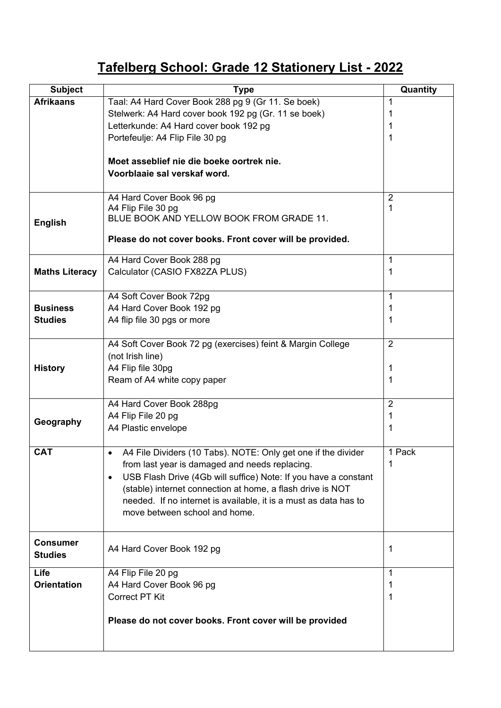## **Tafelberg School: Grade 12 Stationery List - 2022**

| <b>Subject</b>        | <b>Type</b>                                                                  | Quantity       |
|-----------------------|------------------------------------------------------------------------------|----------------|
| <b>Afrikaans</b>      | Taal: A4 Hard Cover Book 288 pg 9 (Gr 11. Se boek)                           | 1              |
|                       | Stelwerk: A4 Hard cover book 192 pg (Gr. 11 se boek)                         | 1              |
|                       | Letterkunde: A4 Hard cover book 192 pg                                       | 1              |
|                       | Portefeulje: A4 Flip File 30 pg                                              | 1              |
|                       |                                                                              |                |
|                       | Moet asseblief nie die boeke oortrek nie.                                    |                |
|                       | Voorblaaie sal verskaf word.                                                 |                |
|                       |                                                                              |                |
|                       | A4 Hard Cover Book 96 pg                                                     | $\overline{2}$ |
|                       | A4 Flip File 30 pg<br>BLUE BOOK AND YELLOW BOOK FROM GRADE 11.               | 1              |
| <b>English</b>        |                                                                              |                |
|                       | Please do not cover books. Front cover will be provided.                     |                |
|                       | A4 Hard Cover Book 288 pg                                                    | 1              |
| <b>Maths Literacy</b> | Calculator (CASIO FX82ZA PLUS)                                               | 1              |
|                       |                                                                              |                |
|                       | A4 Soft Cover Book 72pg                                                      | $\mathbf 1$    |
| <b>Business</b>       | A4 Hard Cover Book 192 pg                                                    | 1              |
| <b>Studies</b>        | A4 flip file 30 pgs or more                                                  | 1              |
|                       |                                                                              |                |
|                       | A4 Soft Cover Book 72 pg (exercises) feint & Margin College                  | 2              |
|                       | (not Irish line)                                                             |                |
| <b>History</b>        | A4 Flip file 30pg                                                            | 1              |
|                       | Ream of A4 white copy paper                                                  | 1              |
|                       | A4 Hard Cover Book 288pg                                                     | $\overline{2}$ |
|                       | A4 Flip File 20 pg                                                           | 1              |
| Geography             | A4 Plastic envelope                                                          | 1              |
|                       |                                                                              |                |
| <b>CAT</b>            | A4 File Dividers (10 Tabs). NOTE: Only get one if the divider<br>$\bullet$   | 1 Pack         |
|                       | from last year is damaged and needs replacing.                               | 1              |
|                       | USB Flash Drive (4Gb will suffice) Note: If you have a constant<br>$\bullet$ |                |
|                       | (stable) internet connection at home, a flash drive is NOT                   |                |
|                       | needed. If no internet is available, it is a must as data has to             |                |
|                       | move between school and home.                                                |                |
|                       |                                                                              |                |
| <b>Consumer</b>       |                                                                              |                |
| <b>Studies</b>        | A4 Hard Cover Book 192 pg                                                    | 1              |
|                       |                                                                              |                |
| Life                  | A4 Flip File 20 pg                                                           | 1              |
| <b>Orientation</b>    | A4 Hard Cover Book 96 pg                                                     | 1              |
|                       | <b>Correct PT Kit</b>                                                        | 1              |
|                       | Please do not cover books. Front cover will be provided                      |                |
|                       |                                                                              |                |
|                       |                                                                              |                |